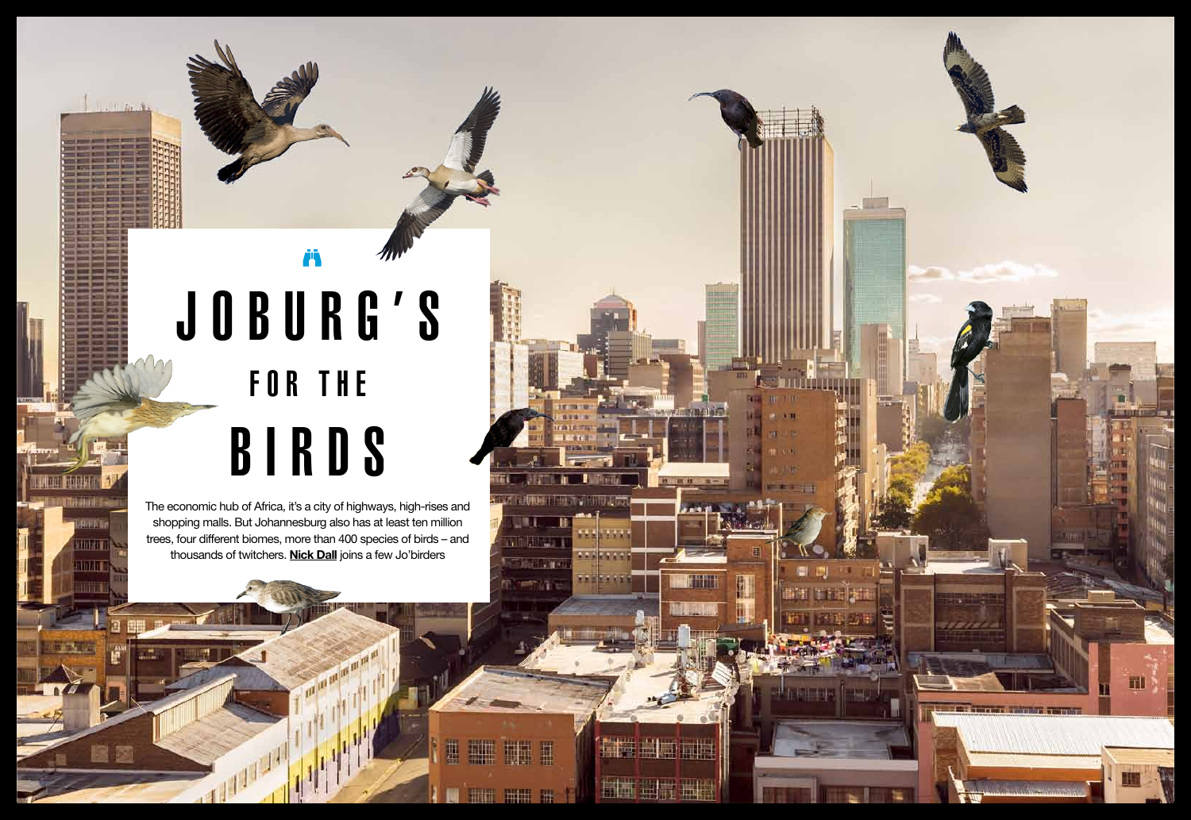# Joburg's FOR THE **BIRDS**

Ä

The economic hub of Africa, it's a city of highways, high-rises and shopping malls. But Johannesburg also has at least ten million trees, four different biomes, more than 400 species of birds – and thousands of twitchers. **Nick Dall** joins a few Jo'birders

**THE OR ON ON ON** 

**LEWIST** 

Urban birding

गतरा

ainnn

喧嚣

 $44.44$  south at  $4.44$  south africa  $4.44$ 

**Che divenuta** 

n dhiney

 $C$  in the  $\mathbf{R}$ 

瓢

 $r = r/4$ 

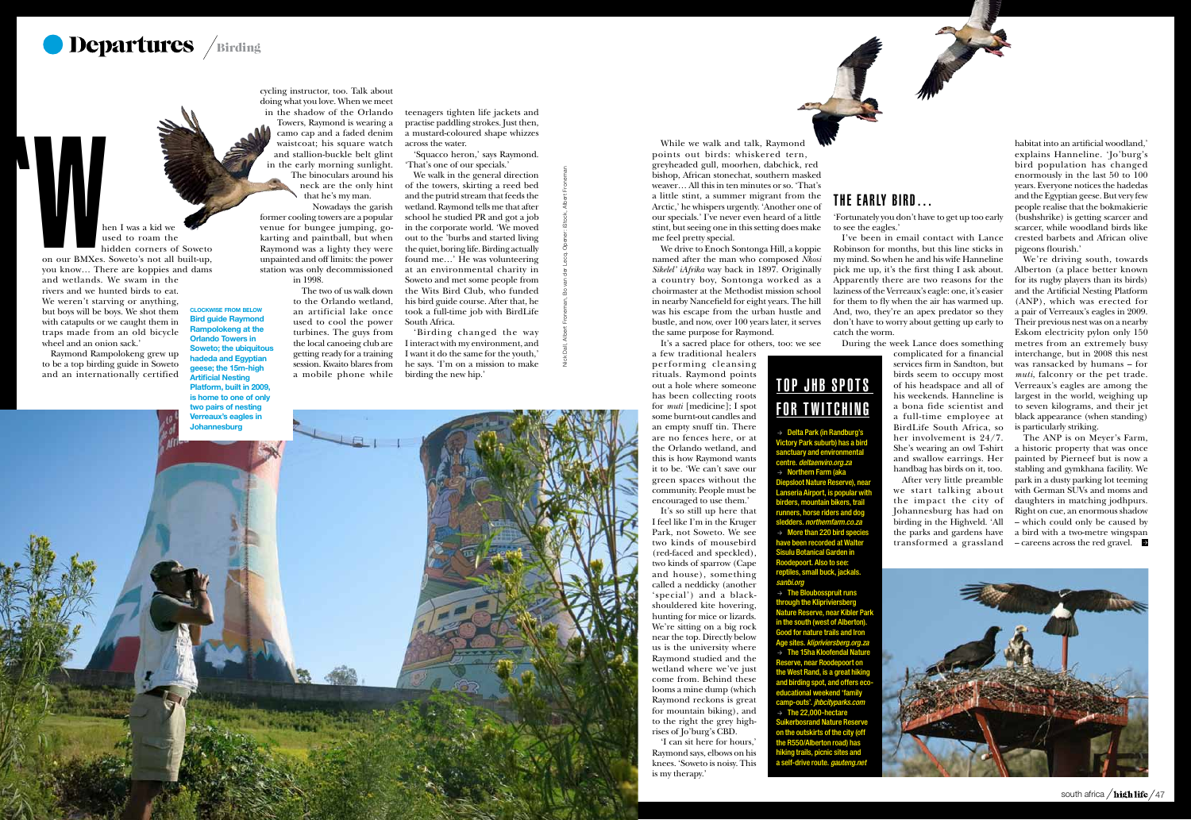

on our BMXes. Soweto's not all built-up, you know… There are koppies and dams h<br>
m on our BMXes.<br>
you know... The<br>
and wetlands

hen I was a kid we used to roam the hidden corners of Soweto

and wetlands. We swam in the rivers and we hunted birds to eat. We weren't starving or anything, but boys will be boys. We shot them with catapults or we caught them in traps made from an old bicycle wheel and an onion sack.'

Raymond Rampolokeng grew up to be a top birding guide in Soweto and an internationally certified

#### The early bird…

'Fortunately you don't have to get up too early

#### to see the eagles.'

I've been in email contact with Lance Robinson for months, but this line sticks in my mind. So when he and his wife Hanneline pick me up, it's the first thing I ask about. Apparently there are two reasons for the laziness of the Verreaux's eagle: one, it's easier for them to fly when the air has warmed up. And, two, they're an apex predator so they don't have to worry about getting up early to

catch the worm.

The ANP is on Meyer's Farm, a historic property that was once painted by Pierneef but is now a stabling and gymkhana facility. We park in a dusty parking lot teeming with German SUVs and moms and daughters in matching jodhpurs. Right on cue, an enormous shadow – which could only be caused by a bird with a two-metre wingspan  $\sim$  careens across the red gravel.



During the week Lance does something complicated for a financial services firm in Sandton, but birds seem to occupy most of his headspace and all of his weekends. Hanneline is a bona fide scientist and a full-time employee at BirdLife South Africa, so her involvement is 24/7. She's wearing an owl T-shirt and swallow earrings. Her handbag has birds on it, too. After very little preamble we start talking about the impact the city of Johannesburg has had on birding in the Highveld. 'All the parks and gardens have transformed a grassland

habitat into an artificial woodland,' explains Hanneline. 'Jo'burg's bird population has changed enormously in the last 50 to 100 years. Everyone notices the hadedas and the Egyptian geese. But very few people realise that the bokmakierie (bushshrike) is getting scarcer and scarcer, while woodland birds like crested barbets and African olive pigeons flourish.'

# TOP JHB SPOTS for Twitching

 $\rightarrow$  Delta Park (in Randburg's Victory Park suburb) has a bird sanctuary and environmental centre. *deltaenviro.org.za*  $\rightarrow$  Northern Farm (aka

We're driving south, towards Alberton (a place better known for its rugby players than its birds) and the Artificial Nesting Platform (ANP), which was erected for a pair of Verreaux's eagles in 2009. Their previous nest was on a nearby Eskom electricity pylon only 150 metres from an extremely busy interchange, but in 2008 this nest was ransacked by humans – for *muti*, falconry or the pet trade. Verreaux's eagles are among the largest in the world, weighing up to seven kilograms, and their jet black appearance (when standing) is particularly striking.

 $\rightarrow$  The Bloubosspruit runs through the Klipriviersberg Nature Reserve, near Kibler Park in the south (west of Alberton). Good for nature trails and Iron Age sites. *klipriviersberg.org.za*  $\rightarrow$  The 15ha Kloofendal Nature Reserve, near Roodepoort on the West Rand, is a great hiking and birding spot, and offers ecoeducational weekend 'family camp-outs'. *jhbcityparks.com*  $\rightarrow$  The 22,000-hectare Suikerbosrand Nature Reserve on the outskirts of the city (off the R550/Alberton road) has hiking trails, picnic sites and a self-drive route. *gauteng.net*

cycling instructor, too. Talk about doing what you love. When we meet

in the shadow of the Orlando Towers, Raymond is wearing a camo cap and a faded denim waistcoat; his square watch and stallion-buckle belt glint in the early morning sunlight. The binoculars around his neck are the only hint that he's my man. Nowadays the garish

> former cooling towers are a popular venue for bungee jumping, gokarting and paintball, but when Raymond was a lighty they were unpainted and off limits: the power station was only decommissioned in 1998.

> > Diepsloot Nature Reserve), near Lanseria Airport, is popular with birders, mountain bikers, trail runners, horse riders and dog sledders. *northernfarm.co.za*  $\rightarrow$  More than 220 bird species have been recorded at Walter Sisulu Botanical Garden in Roodepoort. Also to see: reptiles, small buck, jackals.

*sanbi.org*

While we walk and talk, Raymond points out birds: whiskered tern, greyheaded gull, moorhen, dabchick, red bishop, African stonechat, southern masked weaver… All this in ten minutes or so. 'That's a little stint, a summer migrant from the Arctic,' he whispers urgently. 'Another one of our specials.' I've never even heard of a little stint, but seeing one in this setting does make me feel pretty special.

We drive to Enoch Sontonga Hill, a koppie named after the man who composed *Nkosi Sikelel' iAfrika* way back in 1897. Originally a country boy, Sontonga worked as a choirmaster at the Methodist mission school in nearby Nancefield for eight years. The hill was his escape from the urban hustle and bustle, and now, over 100 years later, it serves the same purpose for Raymond.

It's a sacred place for others, too: we see

The two of us walk down to the Orlando wetland, an artificial lake once used to cool the power turbines. The guys from the local canoeing club are getting ready for a training session. Kwaito blares from a mobile phone while birding the new hip.'

a few traditional healers per forming cleansing rituals. Raymond points out a hole where someone has been collecting roots for *muti* [medicine]; I spot some burnt-out candles and an empty snuff tin. There are no fences here, or at the Orlando wetland, and this is how Raymond wants it to be. 'We can't save our green spaces without the community. People must be encouraged to use them.'

It's so still up here that I feel like I'm in the Kruger Park, not Soweto. We see two kinds of mousebird (red-faced and speckled), two kinds of sparrow (Cape and house), something called a neddicky (another 'special') and a blackshouldered kite hovering, hunting for mice or lizards. We're sitting on a big rock near the top. Directly below us is the university where Raymond studied and the wetland where we've just come from. Behind these looms a mine dump (which Raymond reckons is great for mountain biking), and to the right the grey highrises of Jo'burg's CBD. 'I can sit here for hours,'

Raymond says, elbows on his knees. 'Soweto is noisy. This is my therapy.'

clockwise from below



#### Bird guide Raymond **polokeng at the** Orlando Towers in veto; the ubiquitous hadeda and Egyptian geese; the 15m-high Artificial Nesting Platform, built in 2009, is home to one of only two pairs of nesting Verreaux's eagles in Johannesburg

teenagers tighten life jackets and practise paddling strokes. Just then, a mustard-coloured shape whizzes across the water.

'Squacco heron,' says Raymond. 'That's one of our specials.'

We walk in the general direction of the towers, skirting a reed bed and the putrid stream that feeds the wetland. Raymond tells me that after school he studied PR and got a job in the corporate world. 'We moved out to the 'burbs and started living the quiet, boring life. Birding actually found me…' He was volunteering at an environmental charity in Soweto and met some people from the Wits Bird Club, who funded his bird guide course. After that, he took a full-time job with BirdLife South Africa.

'Birding changed the way I interact with my environment, and I want it do the same for the youth,' he says. 'I'm on a mission to make Nick Dall, Albert Froneman, Bo van der Lecq. Opener: iStock, Albert Froneman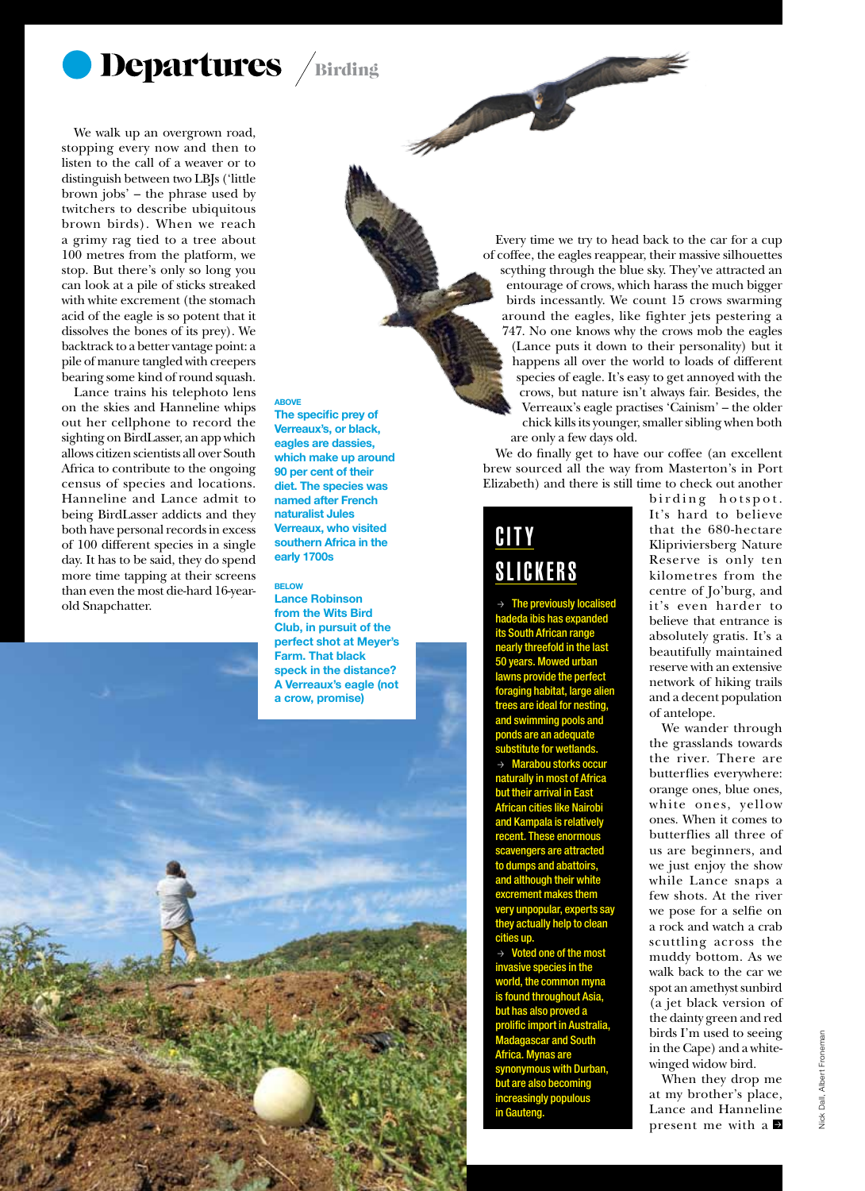

We walk up an overgrown road, stopping every now and then to listen to the call of a weaver or to distinguish between two LBJs ('little brown jobs' – the phrase used by twitchers to describe ubiquitous brown birds). When we reach a grimy rag tied to a tree about 100 metres from the platform, we stop. But there's only so long you can look at a pile of sticks streaked with white excrement (the stomach acid of the eagle is so potent that it dissolves the bones of its prey). We backtrack to a better vantage point: a pile of manure tangled with creepers bearing some kind of round squash.

Lance trains his telephoto lens on the skies and Hanneline whips out her cellphone to record the sighting on BirdLasser, an app which allows citizen scientists all over South Africa to contribute to the ongoing census of species and locations. Hanneline and Lance admit to being BirdLasser addicts and they both have personal records in excess of 100 different species in a single day. It has to be said, they do spend more time tapping at their screens than even the most die-hard 16-yearold Snapchatter.

1982 and a south african

**ABOVE** 

The specific prey of Verreaux's, or black, eagles are dassies, which make up around 90 per cent of their diet. The species was named after French naturalist Jules Verreaux, who visited southern Africa in the early 1700s

marine

#### **BELOW**

Lance Robinson from the Wits Bird Club, in pursuit of the perfect shot at Meyer's Farm. That black speck in the distance? A Verreaux's eagle (not a crow, promise)

Every time we try to head back to the car for a cup of coffee, the eagles reappear, their massive silhouettes scything through the blue sky. They've attracted an entourage of crows, which harass the much bigger birds incessantly. We count 15 crows swarming around the eagles, like fighter jets pestering a 747. No one knows why the crows mob the eagles (Lance puts it down to their personality) but it happens all over the world to loads of different species of eagle. It's easy to get annoyed with the crows, but nature isn't always fair. Besides, the Verreaux's eagle practises 'Cainism' – the older chick kills its younger, smaller sibling when both are only a few days old.

We do finally get to have our coffee (an excellent brew sourced all the way from Masterton's in Port Elizabeth) and there is still time to check out another

#### **CITY** Slickers

 $\rightarrow$  The previously localised hadeda ibis has expanded its South African range nearly threefold in the last 50 years. Mowed urban lawns provide the perfect foraging habitat, large alien tre ideal for ne and swimming pools and ponds are an adequate titute for wetla Marabou storks occur naturally in most of Africa but their arrival in East African cities like Nairobi and Kampala is relatively recent. These enormous ngers are attracted os and ab and although their w ment makes them pular, experts say they actually help to clean ies up.

Voted one of the most e species in the ld, the common myna is found throughout Asia, but has also proved a ic import in Aust<mark>r</mark> Madagascar and South Africa. Mynas are mous with Durban. t are also becoming isingly populous in Gauteng.

birding hotspot. It's hard to believe that the 680-hectare Klipriviersberg Nature Reserve is only ten kilometres from the centre of Jo'burg, and it's even harder to believe that entrance is absolutely gratis. It's a beautifully maintained reserve with an extensive network of hiking trails and a decent population of antelope.

We wander through the grasslands towards the river. There are butterflies everywhere: orange ones, blue ones, white ones, yellow ones. When it comes to butterflies all three of us are beginners, and we just enjoy the show while Lance snaps a few shots. At the river we pose for a selfie on a rock and watch a crab scuttling across the muddy bottom. As we walk back to the car we spot an amethyst sunbird (a jet black version of the dainty green and red birds I'm used to seeing in the Cape) and a whitewinged widow bird.

When they drop me at my brother's place, Lance and Hanneline present me with a  $\blacktriangleright$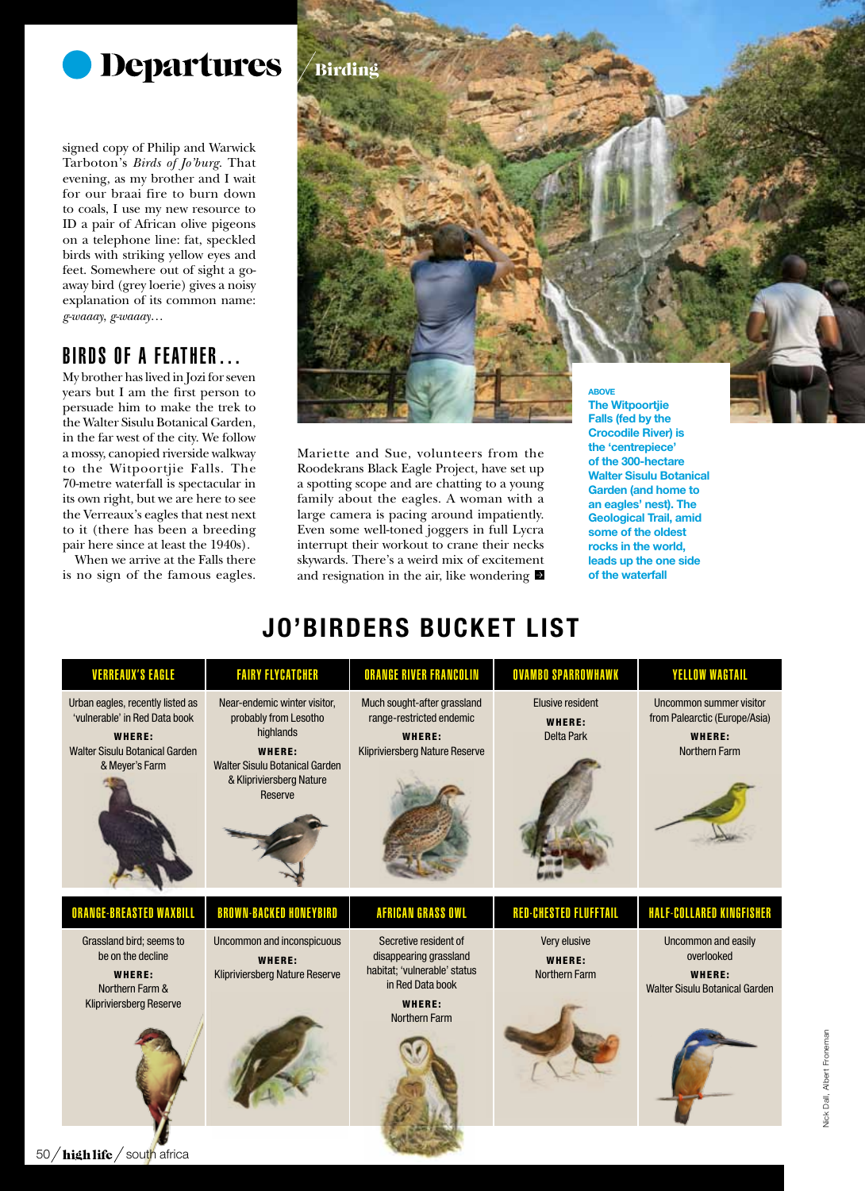

signed copy of Philip and Warwick Tarboton's *Birds of Jo'burg*. That evening, as my brother and I wait for our braai fire to burn down to coals, I use my new resource to ID a pair of African olive pigeons on a telephone line: fat, speckled birds with striking yellow eyes and feet. Somewhere out of sight a goaway bird (grey loerie) gives a noisy explanation of its common name: *g-waaay*, *g-waaay*…

#### Birds of a feather…

My brother has lived in Jozi for seven years but I am the first person to persuade him to make the trek to the Walter Sisulu Botanical Garden, in the far west of the city. We follow a mossy, canopied riverside walkway to the Witpoortjie Falls. The 70-metre waterfall is spectacular in its own right, but we are here to see the Verreaux's eagles that nest next to it (there has been a breeding pair here since at least the 1940s).

When we arrive at the Falls there is no sign of the famous eagles.



Mariette and Sue, volunteers from the Roodekrans Black Eagle Project, have set up a spotting scope and are chatting to a young family about the eagles. A woman with a large camera is pacing around impatiently. Even some well-toned joggers in full Lycra interrupt their workout to crane their necks skywards. There's a weird mix of excitement and resignation in the air, like wondering Crocodile River) is the 'centrepiece' of the 300-hectare Walter Sisulu Botanical Garden (and home to an eagles' nest). The Geological Trail, amid some of the oldest rocks in the world, leads up the one side of the waterfall

# Jo'birders Bucket List

| <b>VERREAUX'S EAGLE</b>                                                                                                         | <b>FAIRY FLYCATCHER</b>                                                                                                                               | ORANGE RIVER FRANCOLIN                                                                                                                | <b>OVAMBO SPARROWHAWK</b>                       | <b>YELLOW WAGTAIL</b>                                                                      |
|---------------------------------------------------------------------------------------------------------------------------------|-------------------------------------------------------------------------------------------------------------------------------------------------------|---------------------------------------------------------------------------------------------------------------------------------------|-------------------------------------------------|--------------------------------------------------------------------------------------------|
| Urban eagles, recently listed as<br>'vulnerable' in Red Data book<br>WHERE:<br>Walter Sisulu Botanical Garden<br>& Meyer's Farm | Near-endemic winter visitor,<br>probably from Lesotho<br>highlands<br>WHERE:<br>Walter Sisulu Botanical Garden<br>& Klipriviersberg Nature<br>Reserve | Much sought-after grassland<br>range-restricted endemic<br>WHERE:<br>Klipriviersberg Nature Reserve                                   | Elusive resident<br>WHERE:<br><b>Delta Park</b> | Uncommon summer visitor<br>from Palearctic (Europe/Asia)<br>WHERE:<br><b>Northern Farm</b> |
| <b>ORANGE-BREASTED WAXBILL</b>                                                                                                  | <b>BROWN-BACKED HONEYBIRD</b>                                                                                                                         | <b>AFRICAN GRASS OWL</b>                                                                                                              | <b>RED-CHESTED FLUFFTAIL</b>                    | HALF-COLLARED KINGFISHER                                                                   |
| Grassland bird; seems to<br>be on the decline<br>WHERE:<br>Northern Farm &<br><b>Klipriviersberg Reserve</b>                    | <b>Uncommon and inconspicuous</b><br>WHERE:<br>Klipriviersberg Nature Reserve                                                                         | Secretive resident of<br>disappearing grassland<br>habitat; 'vulnerable' status<br>in Red Data book<br>WHERE:<br><b>Northern Farm</b> | Very elusive<br>WHERE:<br><b>Northern Farm</b>  | Uncommon and easily<br>overlooked<br>WHERE:<br><b>Walter Sisulu Botanical Garden</b>       |